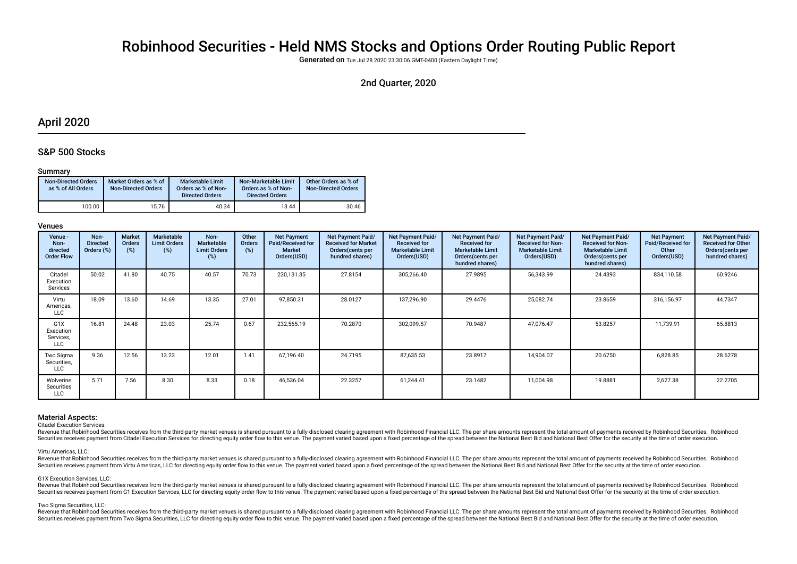# Robinhood Securities - Held NMS Stocks and Options Order Routing Public Report

Generated on Tue Jul 28 2020 23:30:06 GMT-0400 (Eastern Daylight Time)

## 2nd Quarter, 2020

## April 2020

## S&P 500 Stocks

### Summary

| <b>Non-Directed Orders</b><br>as % of All Orders | Market Orders as % of<br><b>Non-Directed Orders</b> | <b>Marketable Limit</b><br>Orders as % of Non-<br><b>Directed Orders</b> | Non-Marketable Limit<br>Orders as % of Non-<br><b>Directed Orders</b> | Other Orders as % of<br><b>Non-Directed Orders</b> |
|--------------------------------------------------|-----------------------------------------------------|--------------------------------------------------------------------------|-----------------------------------------------------------------------|----------------------------------------------------|
| 100.00                                           | 15.76                                               | 40.34                                                                    | 13.44                                                                 | 30.46                                              |

#### Venues

| Venue -<br>Non-<br>directed<br><b>Order Flow</b>  | Non-<br><b>Directed</b><br>Orders (%) | <b>Market</b><br><b>Orders</b><br>(%) | Marketable<br><b>Limit Orders</b><br>(%) | Non-<br><b>Marketable</b><br><b>Limit Orders</b><br>(%) | Other<br>Orders<br>(%) | <b>Net Payment</b><br>Paid/Received for<br><b>Market</b><br>Orders(USD) | Net Payment Paid/<br><b>Received for Market</b><br>Orders (cents per<br>hundred shares) | Net Payment Paid/<br><b>Received for</b><br><b>Marketable Limit</b><br>Orders(USD) | Net Payment Paid/<br><b>Received for</b><br><b>Marketable Limit</b><br>Orders(cents per<br>hundred shares) | <b>Net Payment Paid/</b><br><b>Received for Non-</b><br><b>Marketable Limit</b><br>Orders(USD) | Net Payment Paid/<br><b>Received for Non-</b><br><b>Marketable Limit</b><br>Orders (cents per<br>hundred shares) | <b>Net Payment</b><br>Paid/Received for<br>Other<br>Orders(USD) | Net Payment Paid/<br><b>Received for Other</b><br>Orders (cents per<br>hundred shares) |
|---------------------------------------------------|---------------------------------------|---------------------------------------|------------------------------------------|---------------------------------------------------------|------------------------|-------------------------------------------------------------------------|-----------------------------------------------------------------------------------------|------------------------------------------------------------------------------------|------------------------------------------------------------------------------------------------------------|------------------------------------------------------------------------------------------------|------------------------------------------------------------------------------------------------------------------|-----------------------------------------------------------------|----------------------------------------------------------------------------------------|
| Citadel<br>Execution<br>Services                  | 50.02                                 | 41.80                                 | 40.75                                    | 40.57                                                   | 70.73                  | 230,131.35                                                              | 27.8154                                                                                 | 305,266.40                                                                         | 27.9895                                                                                                    | 56,343.99                                                                                      | 24.4393                                                                                                          | 834,110.58                                                      | 60.9246                                                                                |
| Virtu<br>Americas,<br>LLC                         | 18.09                                 | 13.60                                 | 14.69                                    | 13.35                                                   | 27.01                  | 97,850.31                                                               | 28.0127                                                                                 | 137,296.90                                                                         | 29.4476                                                                                                    | 25,082.74                                                                                      | 23.8659                                                                                                          | 316,156.97                                                      | 44.7347                                                                                |
| G <sub>1</sub> X<br>Execution<br>Services,<br>LLC | 16.81                                 | 24.48                                 | 23.03                                    | 25.74                                                   | 0.67                   | 232,565.19                                                              | 70.2870                                                                                 | 302,099.57                                                                         | 70.9487                                                                                                    | 47,076.47                                                                                      | 53.8257                                                                                                          | 11,739.91                                                       | 65.8813                                                                                |
| Two Sigma<br>Securities,<br>LLC                   | 9.36                                  | 12.56                                 | 13.23                                    | 12.01                                                   | 1.41                   | 67,196.40                                                               | 24.7195                                                                                 | 87,635.53                                                                          | 23.8917                                                                                                    | 14,904.07                                                                                      | 20.6750                                                                                                          | 6,828.85                                                        | 28.6278                                                                                |
| Wolverine<br>Securities<br><b>LLC</b>             | 5.71                                  | 7.56                                  | 8.30                                     | 8.33                                                    | 0.18                   | 46,536.04                                                               | 22.3257                                                                                 | 61,244.41                                                                          | 23.1482                                                                                                    | 11,004.98                                                                                      | 19.8881                                                                                                          | 2,627.38                                                        | 22.2705                                                                                |

#### Material Aspects:

Citadel Execution Services:

Revenue that Robinhood Securities receives from the third-party market venues is shared pursuant to a fully-disclosed clearing agreement with Robinhood Financial LLC. The per share amounts represent the total amount of pay Securities receives payment from Citadel Execution Services for directing equity order flow to this venue. The payment varied based upon a fixed percentage of the spread between the National Best Bid and National Best Offe

#### Virtu Americas, LLC:

Revenue that Robinhood Securities receives from the third-party market venues is shared pursuant to a fully-disclosed clearing agreement with Robinhood Financial LLC. The per share amounts represent the total amount of pay Securities receives payment from Virtu Americas, LLC for directing equity order flow to this venue. The payment varied based upon a fixed percentage of the spread between the National Best Bid and National Best Offer for t

#### G1X Execution Services, LLC:

Revenue that Robinhood Securities receives from the third-party market venues is shared pursuant to a fully-disclosed clearing agreement with Robinhood Financial LLC. The per share amounts represent the total amount of pay Securities receives payment from G1 Execution Services, LLC for directing equity order flow to this venue. The payment varied based upon a fixed percentage of the spread between the National Best Bid and National Best Offe

#### Two Sigma Securities, LLC:

Revenue that Robinhood Securities receives from the third-party market venues is shared pursuant to a fully-disclosed clearing agreement with Robinhood Financial LLC. The per share amounts represent the total amount of pay Securities receives payment from Two Sigma Securities, LLC for directing equity order flow to this venue. The payment varied based upon a fixed percentage of the spread between the National Best Bid and National Best Offer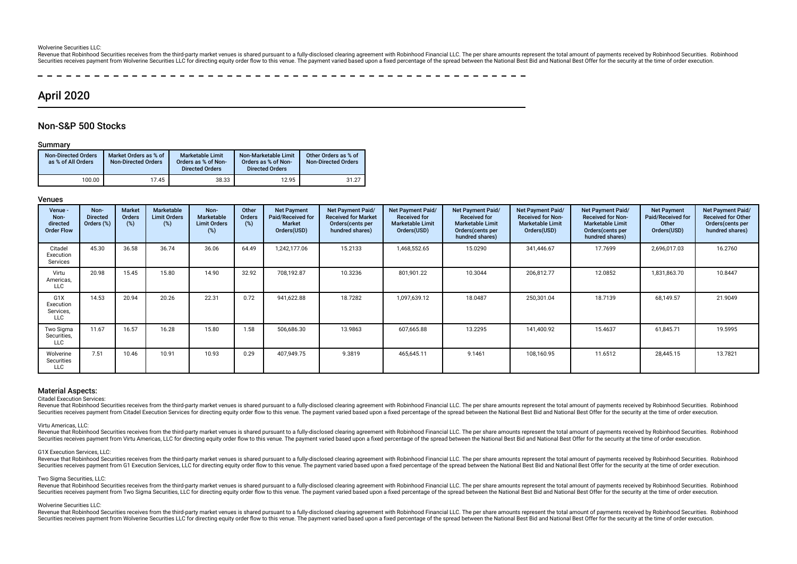#### Wolverine Securities LLC:

Revenue that Robinhood Securities receives from the third-party market venues is shared pursuant to a fully-disclosed clearing agreement with Robinhood Financial LLC. The per share amounts represent the total amount of pay Securities receives payment from Wolverine Securities LLC for directing equity order flow to this venue. The payment varied based upon a fixed percentage of the spread between the National Best Bid and National Best Offer

## April 2020

## Non-S&P 500 Stocks

#### Summary

| <b>Non-Directed Orders</b><br>as % of All Orders | Market Orders as % of<br><b>Non-Directed Orders</b> | Marketable Limit<br>Orders as % of Non-<br><b>Directed Orders</b> | Non-Marketable Limit<br>Orders as % of Non-<br><b>Directed Orders</b> | Other Orders as % of<br><b>Non-Directed Orders</b> |
|--------------------------------------------------|-----------------------------------------------------|-------------------------------------------------------------------|-----------------------------------------------------------------------|----------------------------------------------------|
| 100.00                                           | 17.45                                               | 38.33                                                             | 12.95                                                                 | 31.27                                              |

#### Venues

| Venue -<br>Non-<br>directed<br><b>Order Flow</b>         | Non-<br><b>Directed</b><br>Orders (%) | <b>Market</b><br><b>Orders</b><br>(%) | Marketable<br><b>Limit Orders</b><br>$(\%)$ | Non-<br><b>Marketable</b><br><b>Limit Orders</b><br>(%) | Other<br><b>Orders</b><br>(%) | <b>Net Payment</b><br>Paid/Received for<br><b>Market</b><br>Orders(USD) | Net Payment Paid/<br><b>Received for Market</b><br>Orders (cents per<br>hundred shares) | Net Payment Paid/<br><b>Received for</b><br><b>Marketable Limit</b><br>Orders(USD) | Net Payment Paid/<br><b>Received for</b><br><b>Marketable Limit</b><br>Orders(cents per<br>hundred shares) | Net Payment Paid/<br><b>Received for Non-</b><br><b>Marketable Limit</b><br>Orders(USD) | Net Payment Paid/<br><b>Received for Non-</b><br><b>Marketable Limit</b><br>Orders (cents per<br>hundred shares) | <b>Net Payment</b><br>Paid/Received for<br>Other<br>Orders(USD) | <b>Net Payment Paid/</b><br><b>Received for Other</b><br>Orders (cents per<br>hundred shares) |
|----------------------------------------------------------|---------------------------------------|---------------------------------------|---------------------------------------------|---------------------------------------------------------|-------------------------------|-------------------------------------------------------------------------|-----------------------------------------------------------------------------------------|------------------------------------------------------------------------------------|------------------------------------------------------------------------------------------------------------|-----------------------------------------------------------------------------------------|------------------------------------------------------------------------------------------------------------------|-----------------------------------------------------------------|-----------------------------------------------------------------------------------------------|
| Citadel<br>Execution<br>Services                         | 45.30                                 | 36.58                                 | 36.74                                       | 36.06                                                   | 64.49                         | 1,242,177.06                                                            | 15.2133                                                                                 | 1,468,552.65                                                                       | 15.0290                                                                                                    | 341,446.67                                                                              | 17.7699                                                                                                          | 2,696,017.03                                                    | 16.2760                                                                                       |
| Virtu<br>Americas,<br>LLC                                | 20.98                                 | 15.45                                 | 15.80                                       | 14.90                                                   | 32.92                         | 708,192.87                                                              | 10.3236                                                                                 | 801,901.22                                                                         | 10.3044                                                                                                    | 206,812.77                                                                              | 12.0852                                                                                                          | 1,831,863.70                                                    | 10.8447                                                                                       |
| G <sub>1</sub> X<br>Execution<br>Services,<br><b>LLC</b> | 14.53                                 | 20.94                                 | 20.26                                       | 22.31                                                   | 0.72                          | 941,622.88                                                              | 18.7282                                                                                 | 1,097,639.12                                                                       | 18.0487                                                                                                    | 250,301.04                                                                              | 18.7139                                                                                                          | 68,149.57                                                       | 21.9049                                                                                       |
| Two Sigma<br>Securities,<br><b>LLC</b>                   | 11.67                                 | 16.57                                 | 16.28                                       | 15.80                                                   | 1.58                          | 506,686.30                                                              | 13.9863                                                                                 | 607,665.88                                                                         | 13.2295                                                                                                    | 141,400.92                                                                              | 15.4637                                                                                                          | 61,845.71                                                       | 19.5995                                                                                       |
| Wolverine<br>Securities<br>LLC                           | 7.51                                  | 10.46                                 | 10.91                                       | 10.93                                                   | 0.29                          | 407,949.75                                                              | 9.3819                                                                                  | 465,645.11                                                                         | 9.1461                                                                                                     | 108,160.95                                                                              | 11.6512                                                                                                          | 28,445.15                                                       | 13.7821                                                                                       |

#### Material Aspects:

Citadel Execution Services:

Revenue that Robinhood Securities receives from the third-party market venues is shared pursuant to a fully-disclosed clearing agreement with Robinhood Financial LLC. The per share amounts represent the total amount of pay Securities receives payment from Citadel Execution Services for directing equity order flow to this venue. The payment varied based upon a fixed percentage of the spread between the National Best Bid and National Best Offe

#### Virtu Americas, LLC:

Revenue that Robinhood Securities receives from the third-party market venues is shared pursuant to a fully-disclosed clearing agreement with Robinhood Financial LLC. The per share amounts represent the total amount of pay Securities receives payment from Virtu Americas, LLC for directing equity order flow to this venue. The payment varied based upon a fixed percentage of the spread between the National Best Bid and National Best Offer for t

#### G1X Execution Services, LLC:

Revenue that Robinhood Securities receives from the third-party market venues is shared pursuant to a fully-disclosed clearing agreement with Robinhood Financial LLC. The per share amounts represent the total amount of pay Securities receives payment from G1 Execution Services. LLC for directing equity order flow to this venue. The payment varied based upon a fixed percentage of the spread between the National Best Bid and National Best Offe

#### Two Sigma Securities, LLC:

Revenue that Robinhood Securities receives from the third-party market venues is shared pursuant to a fully-disclosed clearing agreement with Robinhood Financial LLC. The per share amounts represent the total amount of pay Securities receives payment from Two Sigma Securities, LLC for directing equity order flow to this venue. The payment varied based upon a fixed percentage of the spread between the National Best Bid and National Best Offer

#### Wolverine Securities LLC:

Revenue that Robinhood Securities receives from the third-party market venues is shared pursuant to a fully-disclosed clearing agreement with Robinhood Financial LLC. The per share amounts represent the total amount of pay Securities receives payment from Wolverine Securities LLC for directing equity order flow to this venue. The payment varied based upon a fixed percentage of the spread between the National Best Bid and National Best Offer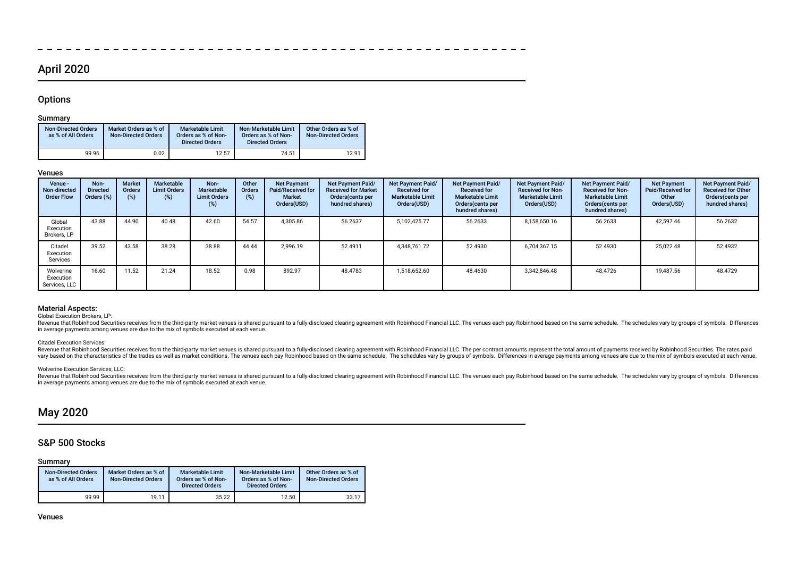## April 2020

## **Options**

## Summary

| <b>Non-Directed Orders</b><br>as % of All Orders | Market Orders as % of<br><b>Non-Directed Orders</b> | <b>Marketable Limit</b><br>Orders as % of Non-<br><b>Directed Orders</b> | Non-Marketable Limit<br>Orders as % of Non-<br><b>Directed Orders</b> | Other Orders as % of<br><b>Non-Directed Orders</b> |
|--------------------------------------------------|-----------------------------------------------------|--------------------------------------------------------------------------|-----------------------------------------------------------------------|----------------------------------------------------|
| 99.96                                            | 0.02                                                | 12.57                                                                    | 74.51                                                                 | 12.91                                              |

### Venues

| Venue -<br>Non-directed<br><b>Order Flow</b> | Non-<br><b>Directed</b><br>Orders (%) | <b>Market</b><br>Orders<br>(%) | Marketable<br><b>Limit Orders</b><br>$(\%)$ | Non-<br>Marketable<br><b>Limit Orders</b><br>$(\%)$ | Other<br>Orders<br>$(\%)$ | <b>Net Payment</b><br>Paid/Received for<br><b>Market</b><br>Orders(USD) | Net Payment Paid/<br><b>Received for Market</b><br>Orders cents per<br>hundred shares) | Net Payment Paid/<br><b>Received for</b><br><b>Marketable Limit</b><br>Orders(USD) | <b>Net Payment Paid/</b><br><b>Received for</b><br><b>Marketable Limit</b><br>Orders (cents per<br>hundred shares) | Net Payment Paid/<br><b>Received for Non-</b><br><b>Marketable Limit</b><br>Orders(USD) | Net Payment Paid/<br><b>Received for Non-</b><br><b>Marketable Limit</b><br>Orders (cents per<br>hundred shares) | <b>Net Payment</b><br>Paid/Received for<br>Other<br>Orders(USD) | <b>Net Payment Paid/</b><br><b>Received for Other</b><br>Orders(cents per<br>hundred shares) |
|----------------------------------------------|---------------------------------------|--------------------------------|---------------------------------------------|-----------------------------------------------------|---------------------------|-------------------------------------------------------------------------|----------------------------------------------------------------------------------------|------------------------------------------------------------------------------------|--------------------------------------------------------------------------------------------------------------------|-----------------------------------------------------------------------------------------|------------------------------------------------------------------------------------------------------------------|-----------------------------------------------------------------|----------------------------------------------------------------------------------------------|
| Global<br>Execution<br>Brokers, LP           | 43.88                                 | 44.90                          | 40.48                                       | 42.60                                               | 54.57                     | 4.305.86                                                                | 56.2637                                                                                | 5,102,425.77                                                                       | 56.2633                                                                                                            | 8,158,650.16                                                                            | 56.2633                                                                                                          | 42,597.46                                                       | 56.2632                                                                                      |
| Citadel<br>Execution<br>Services             | 39.52                                 | 43.58                          | 38.28                                       | 38.88                                               | 44.44                     | 2,996.19                                                                | 52.4911                                                                                | 4,348,761.72                                                                       | 52.4930                                                                                                            | 6,704,367.15                                                                            | 52.4930                                                                                                          | 25,022.48                                                       | 52.4932                                                                                      |
| Wolverine<br>Execution<br>Services, LLC      | 16.60                                 | 11.52                          | 21.24                                       | 18.52                                               | 0.98                      | 892.97                                                                  | 48.4783                                                                                | 1,518,652.60                                                                       | 48.4630                                                                                                            | 3,342,846.48                                                                            | 48.4726                                                                                                          | 19.487.56                                                       | 48.4729                                                                                      |

 $\equiv$   $\equiv$  $\sim$   $-$   $\sim$  $-$ 

## Material Aspects:

Global Execution Brokers, LP:

Revenue that Robinhood Securities receives from the third-party market venues is shared pursuant to a fully-disclosed clearing agreement with Robinhood Financial LLC. The venues each pay Robinhood based on the same schedul in average payments among venues are due to the mix of symbols executed at each venue.

### Citadel Execution Services:

Revenue that Robinhood Securities receives from the third-party market venues is shared pursuant to a fully-disclosed clearing agreement with Robinhood Financial LLC. The per contract amounts represent the total amount of vary based on the characteristics of the trades as well as market conditions. The venues each pay Robinhood based on the same schedule. The schedules wary by groups of symbols. Differences in average payments among venues

### Wolverine Execution Services, LLC:

Revenue that Robinhood Securities receives from the third-party market venues is shared pursuant to a fully-disclosed clearing agreement with Robinhood Financial LLC. The venues each pay Robinhood based on the same schedul in average payments among venues are due to the mix of symbols executed at each venue.

## May 2020

## S&P 500 Stocks

## Summary

| <b>Non-Directed Orders</b><br>as % of All Orders | Market Orders as % of<br><b>Non-Directed Orders</b> | <b>Marketable Limit</b><br>Orders as % of Non-<br><b>Directed Orders</b> | Non-Marketable Limit<br>Orders as % of Non-<br><b>Directed Orders</b> | Other Orders as % of<br><b>Non-Directed Orders</b> |
|--------------------------------------------------|-----------------------------------------------------|--------------------------------------------------------------------------|-----------------------------------------------------------------------|----------------------------------------------------|
| 99.99                                            | 19.11                                               | 35.22                                                                    | 12.50                                                                 | 33.17                                              |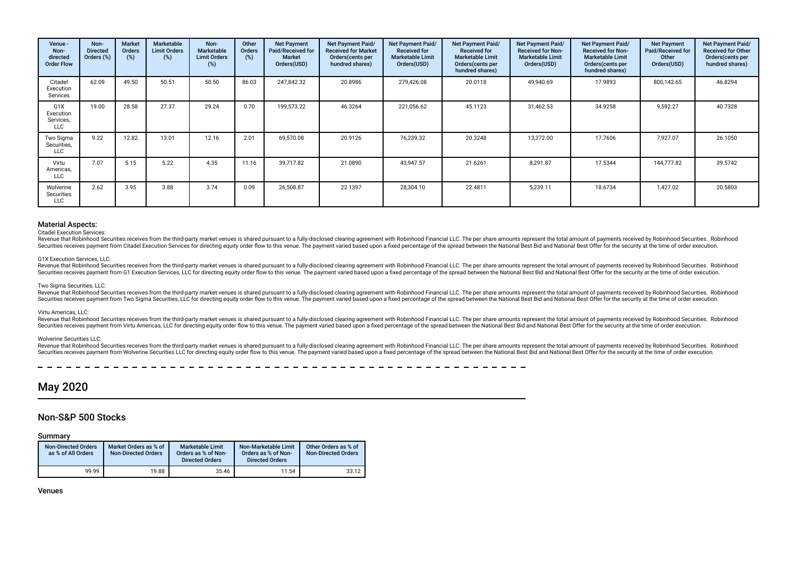| Venue -<br>Non-<br>directed<br><b>Order Flow</b> | Non-<br><b>Directed</b><br>Orders (%) | <b>Market</b><br>Orders<br>(%) | Marketable<br><b>Limit Orders</b><br>(%) | Non-<br>Marketable<br><b>Limit Orders</b><br>$(\%)$ | Other<br>Orders<br>(%) | <b>Net Payment</b><br>Paid/Received for<br><b>Market</b><br>Orders(USD) | Net Payment Paid/<br><b>Received for Market</b><br>Orders (cents per<br>hundred shares) | <b>Net Payment Paid/</b><br><b>Received for</b><br><b>Marketable Limit</b><br>Orders(USD) | Net Payment Paid/<br><b>Received for</b><br><b>Marketable Limit</b><br>Orders(cents per<br>hundred shares) | <b>Net Payment Paid/</b><br><b>Received for Non-</b><br><b>Marketable Limit</b><br>Orders(USD) | Net Payment Paid/<br><b>Received for Non-</b><br><b>Marketable Limit</b><br>Orders (cents per<br>hundred shares) | <b>Net Payment</b><br>Paid/Received for<br>Other<br>Orders(USD) | Net Payment Paid/<br><b>Received for Other</b><br>Orders (cents per<br>hundred shares) |
|--------------------------------------------------|---------------------------------------|--------------------------------|------------------------------------------|-----------------------------------------------------|------------------------|-------------------------------------------------------------------------|-----------------------------------------------------------------------------------------|-------------------------------------------------------------------------------------------|------------------------------------------------------------------------------------------------------------|------------------------------------------------------------------------------------------------|------------------------------------------------------------------------------------------------------------------|-----------------------------------------------------------------|----------------------------------------------------------------------------------------|
| Citadel<br>Execution<br>Services                 | 62.09                                 | 49.50                          | 50.51                                    | 50.50                                               | 86.03                  | 247,842.32                                                              | 20.8986                                                                                 | 279,426.08                                                                                | 20.0118                                                                                                    | 49,940.69                                                                                      | 17.9893                                                                                                          | 800,142.65                                                      | 46.8294                                                                                |
| G1X<br>Execution<br>Services,<br>LLC             | 19.00                                 | 28.58                          | 27.37                                    | 29.24                                               | 0.70                   | 199,573.22                                                              | 46.3264                                                                                 | 221,056.62                                                                                | 45.1123                                                                                                    | 31,462.53                                                                                      | 34.9258                                                                                                          | 9,592.27                                                        | 40.7328                                                                                |
| Two Sigma<br>Securities,<br><b>LLC</b>           | 9.22                                  | 12.82                          | 13.01                                    | 12.16                                               | 2.01                   | 69,570.08                                                               | 20.9126                                                                                 | 76,239.32                                                                                 | 20.3248                                                                                                    | 13,372.00                                                                                      | 17.7606                                                                                                          | 7,927.07                                                        | 26.1050                                                                                |
| Virtu<br>Americas,<br>LLC                        | 7.07                                  | 5.15                           | 5.22                                     | 4.35                                                | 11.16                  | 39.717.82                                                               | 21.0890                                                                                 | 43,947.57                                                                                 | 21.6261                                                                                                    | 8,291.87                                                                                       | 17.5344                                                                                                          | 144,777.82                                                      | 39.5742                                                                                |
| Wolverine<br>Securities<br>LLC                   | 2.62                                  | 3.95                           | 3.88                                     | 3.74                                                | 0.09                   | 26,508.87                                                               | 22.1397                                                                                 | 28,304.10                                                                                 | 22.4811                                                                                                    | 5,239.11                                                                                       | 18.6734                                                                                                          | 1,427.02                                                        | 20.5803                                                                                |

#### Citadel Execution Services:

Revenue that Robinhood Securities receives from the third-party market venues is shared pursuant to a fully-disclosed clearing agreement with Robinhood Financial LLC. The per share amounts represent the total amount of pay Securities receives payment from Citadel Execution Services for directing equity order flow to this venue. The payment varied based upon a fixed percentage of the spread between the National Best Bid and National Best Offe

#### G1X Execution Services, LLC:

Revenue that Robinhood Securities receives from the third-party market venues is shared pursuant to a fully-disclosed clearing agreement with Robinhood Financial LLC. The per share amounts represent the total amount of pay Securities receives payment from G1 Execution Services. LLC for directing equity order flow to this venue. The payment varied based upon a fixed percentage of the spread between the National Best Bid and National Best Offe

#### Two Sigma Securities, LLC:

Revenue that Robinhood Securities receives from the third-party market venues is shared pursuant to a fully-disclosed clearing agreement with Robinhood Financial LLC. The per share amounts represent the total amount of pay Securities receives payment from Two Sigma Securities. LLC for directing equity order flow to this venue. The payment varied based upon a fixed percentage of the spread between the National Best Bid and National Best Offer

#### Virtu Americas, LLC:

Revenue that Robinhood Securities receives from the third-party market venues is shared pursuant to a fully-disclosed clearing agreement with Robinhood Financial LLC. The per share amounts represent the total amount of pay Securities receives payment from Virtu Americas, LLC for directing equity order flow to this venue. The payment varied based upon a fixed percentage of the spread between the National Best Bid and National Best Offer for t

#### Wolverine Securities LLC:

Revenue that Robinhood Securities receives from the third-party market venues is shared pursuant to a fully-disclosed clearing agreement with Robinhood Financial LLC. The per share amounts represent the total amount of pay Securities receives payment from Wolverine Securities LLC for directing equity order flow to this venue. The payment varied based upon a fixed percentage of the spread between the National Best Bid and National Best Differ

## May 2020

## Non-S&P 500 Stocks

## Summary

| <b>Non-Directed Orders</b><br>as % of All Orders | Market Orders as % of<br><b>Non-Directed Orders</b> | <b>Marketable Limit</b><br>Orders as % of Non-<br><b>Directed Orders</b> | Non-Marketable Limit<br>Orders as % of Non-<br><b>Directed Orders</b> | Other Orders as % of<br><b>Non-Directed Orders</b> |
|--------------------------------------------------|-----------------------------------------------------|--------------------------------------------------------------------------|-----------------------------------------------------------------------|----------------------------------------------------|
| 99.99                                            | 19.88                                               | 35.46                                                                    | 11.54                                                                 | 33.12                                              |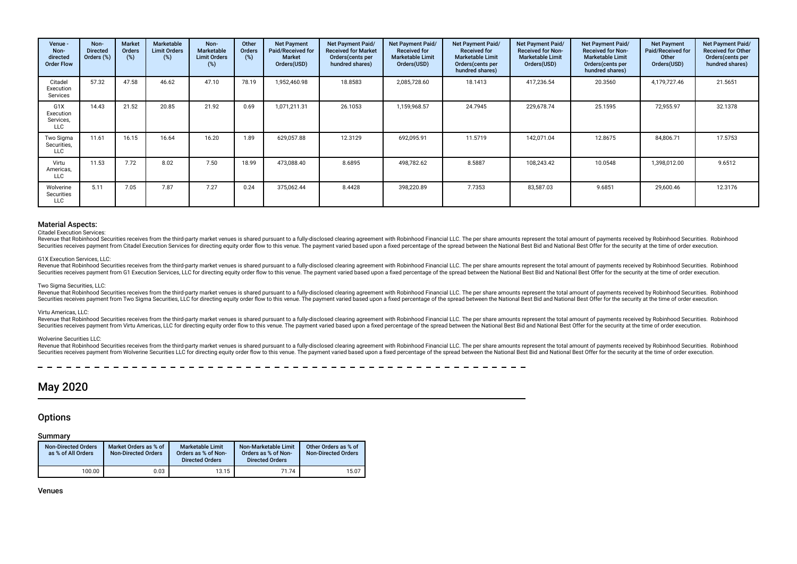| Venue -<br>Non-<br>directed<br><b>Order Flow</b>         | Non-<br><b>Directed</b><br>Orders (%) | <b>Market</b><br>Orders<br>(%) | <b>Marketable</b><br><b>Limit Orders</b><br>(%) | Non-<br>Marketable<br><b>Limit Orders</b><br>(%) | Other<br>Orders<br>(%) | <b>Net Payment</b><br>Paid/Received for<br>Market<br>Orders(USD) | Net Payment Paid/<br><b>Received for Market</b><br>Orders(cents per<br>hundred shares) | Net Payment Paid/<br><b>Received for</b><br><b>Marketable Limit</b><br>Orders(USD) | Net Payment Paid/<br><b>Received for</b><br><b>Marketable Limit</b><br>Orders(cents per<br>hundred shares) | Net Payment Paid/<br><b>Received for Non-</b><br><b>Marketable Limit</b><br>Orders(USD) | Net Payment Paid/<br><b>Received for Non-</b><br><b>Marketable Limit</b><br>Orders (cents per<br>hundred shares) | <b>Net Payment</b><br>Paid/Received for<br>Other<br>Orders(USD) | Net Payment Paid/<br><b>Received for Other</b><br>Orders(cents per<br>hundred shares) |
|----------------------------------------------------------|---------------------------------------|--------------------------------|-------------------------------------------------|--------------------------------------------------|------------------------|------------------------------------------------------------------|----------------------------------------------------------------------------------------|------------------------------------------------------------------------------------|------------------------------------------------------------------------------------------------------------|-----------------------------------------------------------------------------------------|------------------------------------------------------------------------------------------------------------------|-----------------------------------------------------------------|---------------------------------------------------------------------------------------|
| Citadel<br>Execution<br>Services                         | 57.32                                 | 47.58                          | 46.62                                           | 47.10                                            | 78.19                  | 1,952,460.98                                                     | 18.8583                                                                                | 2,085,728.60                                                                       | 18.1413                                                                                                    | 417,236.54                                                                              | 20.3560                                                                                                          | 4,179,727.46                                                    | 21.5651                                                                               |
| G <sub>1</sub> X<br>Execution<br>Services,<br><b>LLC</b> | 14.43                                 | 21.52                          | 20.85                                           | 21.92                                            | 0.69                   | 1,071,211.31                                                     | 26.1053                                                                                | 1,159,968.57                                                                       | 24.7945                                                                                                    | 229,678.74                                                                              | 25.1595                                                                                                          | 72,955.97                                                       | 32.1378                                                                               |
| Two Sigma<br>Securities,<br>LLC                          | 11.61                                 | 16.15                          | 16.64                                           | 16.20                                            | 1.89                   | 629,057.88                                                       | 12.3129                                                                                | 692,095.91                                                                         | 11.5719                                                                                                    | 142,071.04                                                                              | 12.8675                                                                                                          | 84,806.71                                                       | 17.5753                                                                               |
| Virtu<br>Americas,<br>LLC                                | 11.53                                 | 7.72                           | 8.02                                            | 7.50                                             | 18.99                  | 473,088.40                                                       | 8.6895                                                                                 | 498,782.62                                                                         | 8.5887                                                                                                     | 108,243.42                                                                              | 10.0548                                                                                                          | 1,398,012.00                                                    | 9.6512                                                                                |
| Wolverine<br>Securities<br>LLC                           | 5.11                                  | 7.05                           | 7.87                                            | 7.27                                             | 0.24                   | 375,062.44                                                       | 8.4428                                                                                 | 398,220.89                                                                         | 7.7353                                                                                                     | 83,587.03                                                                               | 9.6851                                                                                                           | 29,600.46                                                       | 12.3176                                                                               |

#### Citadel Execution Services:

Revenue that Robinhood Securities receives from the third-party market venues is shared pursuant to a fully-disclosed clearing agreement with Robinhood Financial LLC. The per share amounts represent the total amount of pay Securities receives payment from Citadel Execution Services for directing equity order flow to this venue. The payment varied based upon a fixed percentage of the spread between the National Best Bid and National Best Offe

#### G1X Execution Services, LLC:

Revenue that Robinhood Securities receives from the third-party market venues is shared pursuant to a fully-disclosed clearing agreement with Robinhood Financial LLC. The per share amounts represent the total amount of pay Securities receives payment from G1 Execution Services. LLC for directing equity order flow to this venue. The payment varied based upon a fixed percentage of the spread between the National Best Bid and National Best Offe

#### Two Sigma Securities, LLC:

Revenue that Robinhood Securities receives from the third-party market venues is shared pursuant to a fully-disclosed clearing agreement with Robinhood Financial LLC. The per share amounts represent the total amount of pay Securities receives payment from Two Sigma Securities, LLC for directing equity order flow to this venue. The payment varied based upon a fixed percentage of the spread between the National Best Bid and National Best Offer

#### Virtu Americas, LLC:

Revenue that Robinhood Securities receives from the third-party market venues is shared pursuant to a fully-disclosed clearing agreement with Robinhood Financial LLC. The per share amounts represent the total amount of pay Securities receives payment from Virtu Americas, LLC for directing equity order flow to this venue. The payment varied based upon a fixed percentage of the spread between the National Best Bid and National Best Offer for t

#### Wolverine Securities LLC:

Revenue that Robinhood Securities receives from the third-party market venues is shared pursuant to a fully-disclosed clearing agreement with Robinhood Financial LLC. The per share amounts represent the total amount of pay Securities receives payment from Wolverine Securities LLC for directing equity order flow to this venue. The payment varied based upon a fixed percentage of the spread between the National Best Bid and National Best Offer

## May 2020

## **Options**

#### Summary

| Non-Directed Orders<br>as % of All Orders | Market Orders as % of<br><b>Non-Directed Orders</b> | <b>Marketable Limit</b><br>Orders as % of Non-<br><b>Directed Orders</b> | Non-Marketable Limit<br>Orders as % of Non-<br><b>Directed Orders</b> | Other Orders as % of<br><b>Non-Directed Orders</b> |
|-------------------------------------------|-----------------------------------------------------|--------------------------------------------------------------------------|-----------------------------------------------------------------------|----------------------------------------------------|
| 100.00                                    | 0.03                                                | 13.15                                                                    | 71.74                                                                 | 15.07                                              |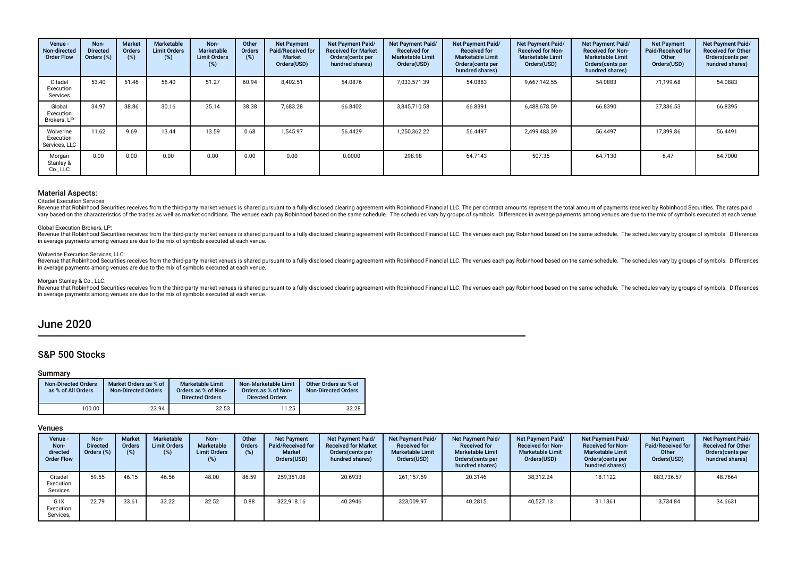| Venue -<br>Non-directed<br><b>Order Flow</b> | Non-<br><b>Directed</b><br>Orders (%) | <b>Market</b><br>Orders<br>(%) | Marketable<br><b>Limit Orders</b><br>(%) | Non-<br><b>Marketable</b><br><b>Limit Orders</b><br>(%) | Other<br><b>Orders</b><br>(%) | <b>Net Payment</b><br>Paid/Received for<br><b>Market</b><br>Orders(USD) | Net Payment Paid/<br><b>Received for Market</b><br>Orders(cents per<br>hundred shares) | Net Payment Paid/<br><b>Received for</b><br><b>Marketable Limit</b><br>Orders(USD) | Net Payment Paid/<br><b>Received for</b><br><b>Marketable Limit</b><br>Orders (cents per<br>hundred shares) | Net Payment Paid/<br><b>Received for Non-</b><br><b>Marketable Limit</b><br>Orders(USD) | Net Payment Paid/<br><b>Received for Non-</b><br><b>Marketable Limit</b><br>Orders (cents per<br>hundred shares) | <b>Net Payment</b><br><b>Paid/Received for</b><br>Other<br>Orders(USD) | Net Payment Paid/<br><b>Received for Other</b><br>Orders(cents per<br>hundred shares) |
|----------------------------------------------|---------------------------------------|--------------------------------|------------------------------------------|---------------------------------------------------------|-------------------------------|-------------------------------------------------------------------------|----------------------------------------------------------------------------------------|------------------------------------------------------------------------------------|-------------------------------------------------------------------------------------------------------------|-----------------------------------------------------------------------------------------|------------------------------------------------------------------------------------------------------------------|------------------------------------------------------------------------|---------------------------------------------------------------------------------------|
| Citadel<br>Execution<br>Services             | 53.40                                 | 51.46                          | 56.40                                    | 51.27                                                   | 60.94                         | 8,402.51                                                                | 54.0876                                                                                | 7,033,571.39                                                                       | 54.0883                                                                                                     | 9,667,142.55                                                                            | 54.0883                                                                                                          | 71,199.68                                                              | 54.0883                                                                               |
| Global<br>Execution<br>Brokers, LP           | 34.97                                 | 38.86                          | 30.16                                    | 35.14                                                   | 38.38                         | 7,683.28                                                                | 66.8402                                                                                | 3,845,710.58                                                                       | 66.8391                                                                                                     | 6,488,678.59                                                                            | 66.8390                                                                                                          | 37,336.53                                                              | 66.8395                                                                               |
| Wolverine<br>Execution<br>Services, LLC      | 11.62                                 | 9.69                           | 13.44                                    | 13.59                                                   | 0.68                          | 1,545.97                                                                | 56.4429                                                                                | 1,250,362.22                                                                       | 56.4497                                                                                                     | 2,499,483.39                                                                            | 56.4497                                                                                                          | 17,399.86                                                              | 56.4491                                                                               |
| Morgan<br>Stanley &<br>Co., LLC              | 0.00                                  | 0.00                           | 0.00                                     | 0.00                                                    | 0.00                          | 0.00                                                                    | 0.0000                                                                                 | 298.98                                                                             | 64.7143                                                                                                     | 507.35                                                                                  | 64.7130                                                                                                          | 6.47                                                                   | 64.7000                                                                               |

#### Citadel Execution Services:

Revenue that Robinhood Securities receives from the third-party market venues is shared pursuant to a fully-disclosed clearing agreement with Robinhood Financial LLC. The per contract amounts represent the total amount of vary based on the characteristics of the trades as well as market conditions. The venues each pay Robinhood based on the same schedule. The schedules vary by groups of symbols. Differences in average payments among venues

#### Global Execution Brokers, LP:

Revenue that Robinhood Securities receives from the third-party market venues is shared pursuant to a fully-disclosed clearing agreement with Robinhood Financial LLC. The venues each pay Robinhood based on the same schedul in average payments among venues are due to the mix of symbols executed at each venue.

#### Wolverine Execution Services, LLC:

Revenue that Robinhood Securities receives from the third-party market venues is shared pursuant to a fully-disclosed clearing agreement with Robinhood Financial LLC. The venues each pay Robinhood based on the same schedul in average payments among venues are due to the mix of symbols executed at each venue.

#### Morgan Stanley & Co., LLC:

Revenue that Robinhood Securities receives from the third-party market venues is shared pursuant to a fully-disclosed clearing agreement with Robinhood Financial LLC. The venues each pay Robinhood based on the same schedul in average payments among venues are due to the mix of symbols executed at each venue.

## June 2020

## S&P 500 Stocks

### Summary

| <b>Non-Directed Orders</b><br>as % of All Orders | Market Orders as % of<br><b>Non-Directed Orders</b> | <b>Marketable Limit</b><br>Orders as % of Non-<br><b>Directed Orders</b> | Non-Marketable Limit<br>Orders as % of Non-<br><b>Directed Orders</b> | Other Orders as % of<br><b>Non-Directed Orders</b> |
|--------------------------------------------------|-----------------------------------------------------|--------------------------------------------------------------------------|-----------------------------------------------------------------------|----------------------------------------------------|
| 100.00                                           | 23.94                                               | 32.53                                                                    | 11.25                                                                 | 32.28                                              |

| Venue -<br>Non-<br>directed<br><b>Order Flow</b> | Non-<br><b>Directed</b><br>Orders (%) | <b>Market</b><br><b>Orders</b><br>(%) | Marketable<br><b>Limit Orders</b><br>(%) | Non-<br>Marketable<br><b>Limit Orders</b><br>(%) | Other<br>Orders<br>(% ) | <b>Net Payment</b><br>Paid/Received for<br><b>Market</b><br>Orders(USD) | Net Payment Paid/<br><b>Received for Market</b><br>Orders(cents per<br>hundred shares) | Net Payment Paid/<br><b>Received for</b><br><b>Marketable Limit</b><br>Orders(USD) | Net Payment Paid/<br><b>Received for</b><br><b>Marketable Limit</b><br>Orders (cents per<br>hundred shares) | <b>Net Payment Paid/</b><br><b>Received for Non-</b><br><b>Marketable Limit</b><br>Orders(USD) | Net Payment Paid/<br><b>Received for Non-</b><br><b>Marketable Limit</b><br>Orders (cents per<br>hundred shares) | <b>Net Payment</b><br>Paid/Received for<br>Other<br>Orders(USD) | Net Payment Paid/<br><b>Received for Other</b><br>Orders (cents per<br>hundred shares) |
|--------------------------------------------------|---------------------------------------|---------------------------------------|------------------------------------------|--------------------------------------------------|-------------------------|-------------------------------------------------------------------------|----------------------------------------------------------------------------------------|------------------------------------------------------------------------------------|-------------------------------------------------------------------------------------------------------------|------------------------------------------------------------------------------------------------|------------------------------------------------------------------------------------------------------------------|-----------------------------------------------------------------|----------------------------------------------------------------------------------------|
| Citadel<br>Execution<br>Services                 | 59.55                                 | 46.15                                 | 46.56                                    | 48.00                                            | 86.59                   | 259,351.08                                                              | 20.6933                                                                                | 261,157.59                                                                         | 20.3146                                                                                                     | 38,312.24                                                                                      | 18.1122                                                                                                          | 883,736.57                                                      | 48.7664                                                                                |
| G <sub>1</sub> X<br>Execution<br>Services,       | 22.79                                 | 33.61                                 | 33.22                                    | 32.52                                            | 0.88                    | 322,918.16                                                              | 40.3946                                                                                | 323,009.97                                                                         | 40.2815                                                                                                     | 40,527.13                                                                                      | 31.1361                                                                                                          | 13,734.84                                                       | 34.6631                                                                                |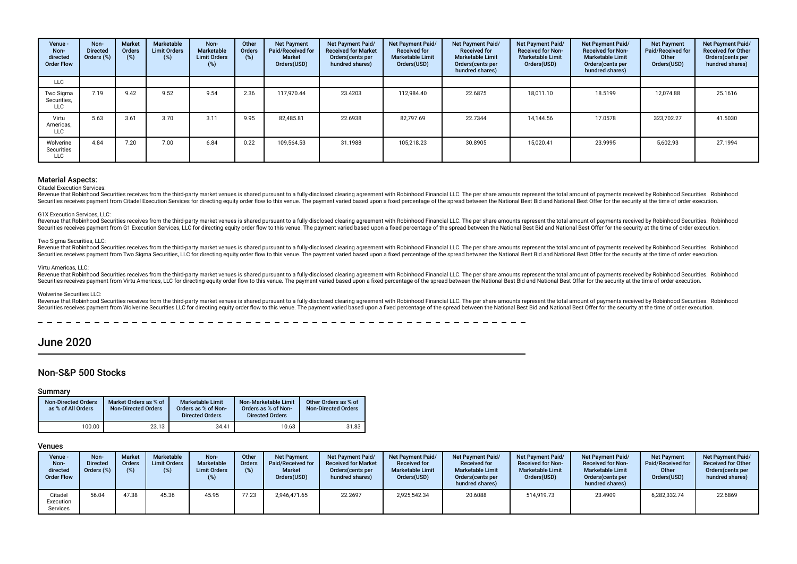| Venue -<br>Non-<br>directed<br><b>Order Flow</b> | Non-<br><b>Directed</b><br>Orders (%) | <b>Market</b><br>Orders<br>(%) | Marketable<br><b>Limit Orders</b><br>$(\%)$ | Non-<br>Marketable<br><b>Limit Orders</b><br>$(\%)$ | Other<br>Orders<br>(%) | <b>Net Payment</b><br>Paid/Received for<br><b>Market</b><br>Orders(USD) | Net Payment Paid/<br><b>Received for Market</b><br>Orders(cents per<br>hundred shares) | Net Payment Paid/<br><b>Received for</b><br><b>Marketable Limit</b><br>Orders(USD) | <b>Net Payment Paid/</b><br><b>Received for</b><br><b>Marketable Limit</b><br>Orders (cents per<br>hundred shares) | Net Payment Paid/<br><b>Received for Non-</b><br><b>Marketable Limit</b><br>Orders(USD) | Net Payment Paid/<br><b>Received for Non-</b><br><b>Marketable Limit</b><br>Orders (cents per<br>hundred shares) | <b>Net Payment</b><br>Paid/Received for<br>Other<br>Orders(USD) | Net Payment Paid/<br><b>Received for Other</b><br>Orders(cents per<br>hundred shares) |
|--------------------------------------------------|---------------------------------------|--------------------------------|---------------------------------------------|-----------------------------------------------------|------------------------|-------------------------------------------------------------------------|----------------------------------------------------------------------------------------|------------------------------------------------------------------------------------|--------------------------------------------------------------------------------------------------------------------|-----------------------------------------------------------------------------------------|------------------------------------------------------------------------------------------------------------------|-----------------------------------------------------------------|---------------------------------------------------------------------------------------|
| <b>LLC</b>                                       |                                       |                                |                                             |                                                     |                        |                                                                         |                                                                                        |                                                                                    |                                                                                                                    |                                                                                         |                                                                                                                  |                                                                 |                                                                                       |
| Two Sigma<br>Securities,<br><b>LLC</b>           | 7.19                                  | 9.42                           | 9.52                                        | 9.54                                                | 2.36                   | 117.970.44                                                              | 23.4203                                                                                | 112,984.40                                                                         | 22.6875                                                                                                            | 18,011.10                                                                               | 18.5199                                                                                                          | 12,074.88                                                       | 25.1616                                                                               |
| Virtu<br>Americas,<br><b>LLC</b>                 | 5.63                                  | 3.61                           | 3.70                                        | 3.11                                                | 9.95                   | 82.485.81                                                               | 22.6938                                                                                | 82,797.69                                                                          | 22.7344                                                                                                            | 14.144.56                                                                               | 17.0578                                                                                                          | 323,702.27                                                      | 41.5030                                                                               |
| Wolverine<br>Securities<br><b>LLC</b>            | 4.84                                  | 7.20                           | 7.00                                        | 6.84                                                | 0.22                   | 109,564.53                                                              | 31.1988                                                                                | 105,218.23                                                                         | 30.8905                                                                                                            | 15,020.41                                                                               | 23.9995                                                                                                          | 5,602.93                                                        | 27.1994                                                                               |

#### Citadel Execution Services:

Revenue that Robinhood Securities receives from the third-party market venues is shared pursuant to a fully-disclosed clearing agreement with Robinhood Financial LLC. The per share amounts represent the total amount of pay Securities receives payment from Citadel Execution Services for directing equity order flow to this venue. The payment varied based upon a fixed percentage of the spread between the National Best Bid and National Best Offe

#### G1X Execution Services, LLC:

Revenue that Robinhood Securities receives from the third-party market venues is shared pursuant to a fully-disclosed clearing agreement with Robinhood Financial LLC. The per share amounts represent the total amount of pay Securities receives payment from G1 Execution Services. LLC for directing equity order flow to this venue. The payment varied based upon a fixed percentage of the spread between the National Best Bid and National Best Offe

#### Two Sigma Securities, LLC:

Revenue that Robinhood Securities receives from the third-party market venues is shared pursuant to a fully-disclosed clearing agreement with Robinhood Financial LLC. The per share amounts represent the total amount of pay Securities receives payment from Two Sigma Securities. LLC for directing equity order flow to this venue. The payment varied based upon a fixed percentage of the spread between the National Best Bid and National Best Offer

#### Virtu Americas, LLC:

Revenue that Robinhood Securities receives from the third-party market venues is shared pursuant to a fully-disclosed clearing agreement with Robinhood Financial LLC. The per share amounts represent the total amount of pay Securities receives payment from Virtu Americas, LLC for directing equity order flow to this venue. The payment varied based upon a fixed percentage of the spread between the National Best Bid and National Best Offer for t

#### Wolverine Securities LLC:

Revenue that Robinhood Securities receives from the third-party market venues is shared pursuant to a fully-disclosed clearing agreement with Robinhood Financial LLC. The per share amounts represent the total amount of pay Securities receives payment from Wolverine Securities LLC for directing equity order flow to this venue. The payment varied based upon a fixed percentage of the spread between the National Best Bid and National Best Offer

## June 2020

## Non-S&P 500 Stocks

#### Summary

| <b>Non-Directed Orders</b><br>as % of All Orders | Market Orders as % of<br><b>Non-Directed Orders</b> | Marketable Limit<br>Orders as % of Non-<br><b>Directed Orders</b> | Non-Marketable Limit<br>Orders as % of Non-<br><b>Directed Orders</b> | Other Orders as % of<br><b>Non-Directed Orders</b> |
|--------------------------------------------------|-----------------------------------------------------|-------------------------------------------------------------------|-----------------------------------------------------------------------|----------------------------------------------------|
| 100.00                                           | 23.13                                               | 34.41                                                             | 10.63                                                                 | 31.83                                              |

| Venue -<br>Non-<br>directed<br><b>Order Flow</b> | Non-<br><b>Directed</b><br>Orders (%) | <b>Market</b><br><b>Orders</b><br>(9) | Marketable<br><b>Limit Orders</b><br>(%) | Non-<br>Marketable<br><b>Limit Orders</b><br>(%) | Other<br><b>Orders</b><br>(%) | <b>Net Payment</b><br>Paid/Received for<br><b>Market</b><br>Orders(USD) | <b>Net Payment Paid/</b><br><b>Received for Market</b><br>Orders (cents per<br>hundred shares) | <b>Net Payment Paid/</b><br><b>Received for</b><br><b>Marketable Limit</b><br>Orders(USD) | Net Payment Paid/<br><b>Received for</b><br><b>Marketable Limit</b><br>Orders (cents per<br>hundred shares) | <b>Net Payment Paid/</b><br><b>Received for Non-</b><br><b>Marketable Limit</b><br>Orders(USD) | Net Payment Paid/<br><b>Received for Non-</b><br><b>Marketable Limit</b><br>Orders (cents per<br>hundred shares) | <b>Net Payment</b><br><b>Paid/Received for</b><br>Other<br>Orders(USD) | <b>Net Payment Paid/</b><br><b>Received for Other</b><br>Orders (cents per<br>hundred shares) |
|--------------------------------------------------|---------------------------------------|---------------------------------------|------------------------------------------|--------------------------------------------------|-------------------------------|-------------------------------------------------------------------------|------------------------------------------------------------------------------------------------|-------------------------------------------------------------------------------------------|-------------------------------------------------------------------------------------------------------------|------------------------------------------------------------------------------------------------|------------------------------------------------------------------------------------------------------------------|------------------------------------------------------------------------|-----------------------------------------------------------------------------------------------|
| Citadel<br>Execution<br>Services                 | 56.04                                 | 47.38                                 | 45.36                                    | 45.95                                            | 77.23                         | 2.946.471.65                                                            | 22.2697                                                                                        | 2,925,542.34                                                                              | 20.6088                                                                                                     | 514,919.73                                                                                     | 23.4909                                                                                                          | 6,282,332.74                                                           | 22.6869                                                                                       |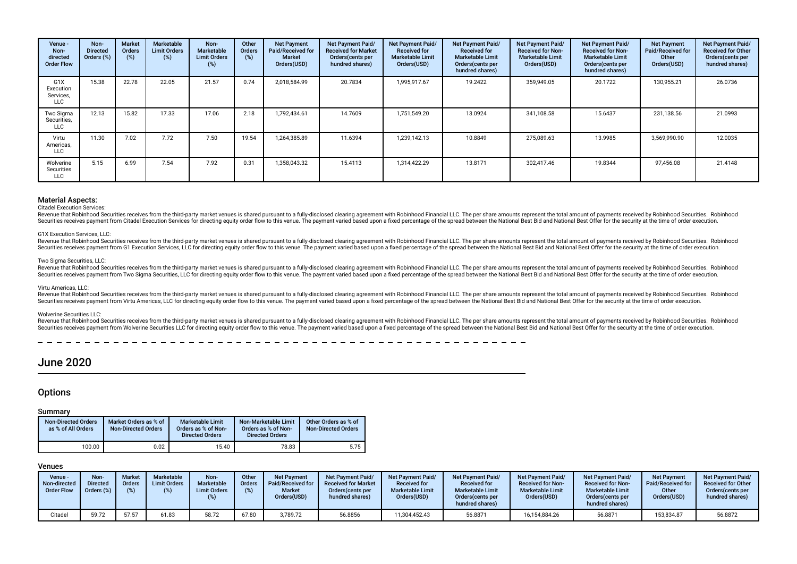| Venue -<br>Non-<br>directed<br><b>Order Flow</b>         | Non-<br><b>Directed</b><br>Orders (%) | <b>Market</b><br><b>Orders</b><br>(%) | Marketable<br><b>Limit Orders</b><br>$(\%)$ | Non-<br>Marketable<br><b>Limit Orders</b><br>(%) | Other<br>Orders<br>(%) | <b>Net Payment</b><br>Paid/Received for<br>Market<br>Orders(USD) | Net Payment Paid/<br><b>Received for Market</b><br>Orders (cents per<br>hundred shares) | Net Payment Paid/<br><b>Received for</b><br><b>Marketable Limit</b><br>Orders(USD) | Net Payment Paid/<br><b>Received for</b><br><b>Marketable Limit</b><br>Orders (cents per<br>hundred shares) | Net Payment Paid/<br><b>Received for Non-</b><br><b>Marketable Limit</b><br>Orders(USD) | Net Payment Paid/<br><b>Received for Non-</b><br><b>Marketable Limit</b><br>Orders (cents per<br>hundred shares) | <b>Net Payment</b><br>Paid/Received for<br>Other<br>Orders(USD) | <b>Net Payment Paid/</b><br><b>Received for Other</b><br>Orders (cents per<br>hundred shares) |
|----------------------------------------------------------|---------------------------------------|---------------------------------------|---------------------------------------------|--------------------------------------------------|------------------------|------------------------------------------------------------------|-----------------------------------------------------------------------------------------|------------------------------------------------------------------------------------|-------------------------------------------------------------------------------------------------------------|-----------------------------------------------------------------------------------------|------------------------------------------------------------------------------------------------------------------|-----------------------------------------------------------------|-----------------------------------------------------------------------------------------------|
| G <sub>1</sub> X<br>Execution<br>Services,<br><b>LLC</b> | 15.38                                 | 22.78                                 | 22.05                                       | 21.57                                            | 0.74                   | 2,018,584.99                                                     | 20.7834                                                                                 | 1,995,917.67                                                                       | 19.2422                                                                                                     | 359,949.05                                                                              | 20.1722                                                                                                          | 130,955.21                                                      | 26.0736                                                                                       |
| Two Sigma<br>Securities,<br>LLC                          | 12.13                                 | 15.82                                 | 17.33                                       | 17.06                                            | 2.18                   | 1.792.434.61                                                     | 14.7609                                                                                 | 1,751,549.20                                                                       | 13.0924                                                                                                     | 341.108.58                                                                              | 15.6437                                                                                                          | 231,138.56                                                      | 21.0993                                                                                       |
| Virtu<br>Americas,<br><b>LLC</b>                         | 11.30                                 | 7.02                                  | 7.72                                        | 7.50                                             | 19.54                  | 1,264,385.89                                                     | 11.6394                                                                                 | 1,239,142.13                                                                       | 10.8849                                                                                                     | 275,089.63                                                                              | 13.9985                                                                                                          | 3,569,990.90                                                    | 12.0035                                                                                       |
| Wolverine<br>Securities<br><b>LLC</b>                    | 5.15                                  | 6.99                                  | 7.54                                        | 7.92                                             | 0.31                   | 1,358,043.32                                                     | 15.4113                                                                                 | 1,314,422.29                                                                       | 13.8171                                                                                                     | 302,417.46                                                                              | 19.8344                                                                                                          | 97,456.08                                                       | 21.4148                                                                                       |

Citadel Execution Services:

Revenue that Robinhood Securities receives from the third-party market venues is shared pursuant to a fully-disclosed clearing agreement with Robinhood Financial LLC. The per share amounts represent the total amount of pay Securities receives payment from Citadel Execution Services for directing equity order flow to this venue. The payment varied based upon a fixed percentage of the spread between the National Best Bid and National Best Offe

#### G1X Execution Services, LLC:

Revenue that Robinhood Securities receives from the third-party market venues is shared pursuant to a fully-disclosed clearing agreement with Robinhood Financial LLC. The per share amounts represent the total amount of nay Securities receives payment from G1 Execution Services, LLC for directing equity order flow to this venue. The payment varied based upon a fixed percentage of the spread between the National Best Bid and National Best Offe

#### Two Sigma Securities, LLC:

Revenue that Robinhood Securities receives from the third-party market venues is shared pursuant to a fully-disclosed clearing agreement with Robinhood Financial LLC. The per share amounts represent the total amount of pay Securities receives payment from Two Sigma Securities. LLC for directing equity order flow to this venue. The payment varied based upon a fixed percentage of the spread between the National Best Bid and National Best Offer

#### Virtu Americas, LLC:

Revenue that Robinhood Securities receives from the third-party market venues is shared pursuant to a fully-disclosed clearing agreement with Robinhood Financial LLC. The per share amounts represent the total amount of pay Securities receives payment from Virtu Americas, LLC for directing equity order flow to this venue. The payment varied based upon a fixed percentage of the spread between the National Best Bid and National Best Offer for t

#### Wolverine Securities LLC:

Revenue that Robinhood Securities receives from the third-party market venues is shared pursuant to a fully-disclosed clearing agreement with Robinhood Financial LLC. The per share amounts represent the total amount of pay Securities receives bayment from Wolverine Securities LLC for directing equity order flow to this venue. The payment varied based upon a fixed percentage of the spread between the National Best Bid and National Best Offer

## June 2020

## **Options**

#### Summary

| <b>Non-Directed Orders</b><br>as % of All Orders | Market Orders as % of<br><b>Non-Directed Orders</b> | Marketable Limit<br>Orders as % of Non-<br><b>Directed Orders</b> | Non-Marketable Limit<br>Orders as % of Non-<br><b>Directed Orders</b> | Other Orders as % of<br><b>Non-Directed Orders</b> |
|--------------------------------------------------|-----------------------------------------------------|-------------------------------------------------------------------|-----------------------------------------------------------------------|----------------------------------------------------|
| 100.00                                           | 0.02                                                | 15.40                                                             | 78.83                                                                 | 5.75                                               |

| <b>Venue -</b><br>Non-directed<br><b>Order Flow</b> | Non-<br>Directed<br>Orders (%) | <b>Market</b><br><b>Orders</b> | Marketable<br><b>Limit Orders</b> | Non-<br><b>Marketable</b><br><b>Limit Orders</b> | Other<br>Orders | <b>Net Payment</b><br>Paid/Received for<br><b>Market</b><br>Orders(USD) | <b>Net Payment Paid/</b><br><b>Received for Market</b><br>Orders (cents per<br>hundred shares) | <b>Net Payment Paid/</b><br><b>Received for</b><br><b>Marketable Limit</b><br>Orders(USD) | <b>Net Payment Paid/</b><br><b>Received for</b><br><b>Marketable Limit</b><br>Orders (cents per<br>hundred shares) | <b>Net Payment Paid/</b><br><b>Received for Non-</b><br><b>Marketable Limit</b><br>Orders(USD) | <b>Net Payment Paid/</b><br><b>Received for Non-</b><br><b>Marketable Limit</b><br>Orders (cents per<br>hundred shares) | <b>Net Payment</b><br>Paid/Received for<br>Other<br>Orders(USD) | <b>Net Payment Paid/</b><br><b>Received for Other</b><br>Orders (cents per<br>hundred shares) |
|-----------------------------------------------------|--------------------------------|--------------------------------|-----------------------------------|--------------------------------------------------|-----------------|-------------------------------------------------------------------------|------------------------------------------------------------------------------------------------|-------------------------------------------------------------------------------------------|--------------------------------------------------------------------------------------------------------------------|------------------------------------------------------------------------------------------------|-------------------------------------------------------------------------------------------------------------------------|-----------------------------------------------------------------|-----------------------------------------------------------------------------------------------|
| Citadel                                             | 59.72                          | 57.57                          | 61.83                             | 58.72                                            | 67.80           | 3,789.72                                                                | 56.8856                                                                                        | 11,304,452.43                                                                             | 56.8871                                                                                                            | 16,154,884.26                                                                                  | 56.8871                                                                                                                 | 153,834.87                                                      | 56.8872                                                                                       |